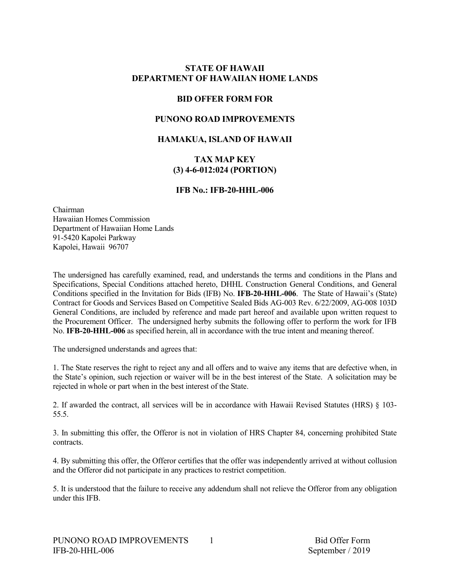## **STATE OF HAWAII DEPARTMENT OF HAWAIIAN HOME LANDS**

## **BID OFFER FORM FOR**

## **PUNONO ROAD IMPROVEMENTS**

### **HAMAKUA, ISLAND OF HAWAII**

### **TAX MAP KEY (3) 4-6-012:024 (PORTION)**

## **IFB No.: IFB-20-HHL-006**

Chairman Hawaiian Homes Commission Department of Hawaiian Home Lands 91-5420 Kapolei Parkway Kapolei, Hawaii 96707

The undersigned has carefully examined, read, and understands the terms and conditions in the Plans and Specifications, Special Conditions attached hereto, DHHL Construction General Conditions, and General Conditions specified in the Invitation for Bids (IFB) No. **IFB-20-HHL-006**. The State of Hawaii's (State) Contract for Goods and Services Based on Competitive Sealed Bids AG-003 Rev. 6/22/2009, AG-008 103D General Conditions, are included by reference and made part hereof and available upon written request to the Procurement Officer. The undersigned herby submits the following offer to perform the work for IFB No. **IFB-20-HHL-006** as specified herein, all in accordance with the true intent and meaning thereof.

The undersigned understands and agrees that:

1. The State reserves the right to reject any and all offers and to waive any items that are defective when, in the State's opinion, such rejection or waiver will be in the best interest of the State. A solicitation may be rejected in whole or part when in the best interest of the State.

2. If awarded the contract, all services will be in accordance with Hawaii Revised Statutes (HRS) § 103- 55.5.

3. In submitting this offer, the Offeror is not in violation of HRS Chapter 84, concerning prohibited State contracts.

4. By submitting this offer, the Offeror certifies that the offer was independently arrived at without collusion and the Offeror did not participate in any practices to restrict competition.

5. It is understood that the failure to receive any addendum shall not relieve the Offeror from any obligation under this IFB.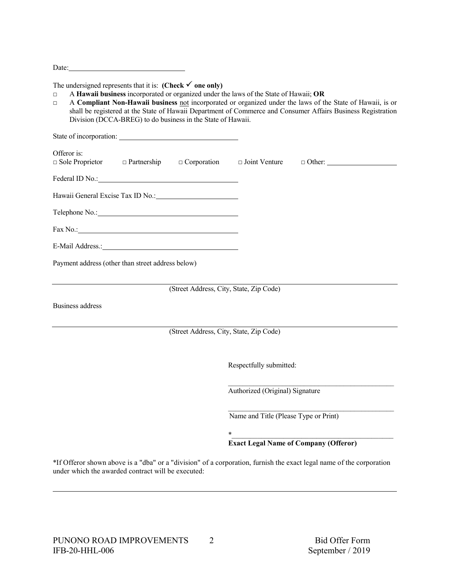Date:

#### The undersigned represents that it is: **(Check**  $\checkmark$  **one only)**

□ A **Hawaii business** incorporated or organized under the laws of the State of Hawaii; **OR**

□ A **Compliant Non-Hawaii business** not incorporated or organized under the laws of the State of Hawaii, is or shall be registered at the State of Hawaii Department of Commerce and Consumer Affairs Business Registration Division (DCCA-BREG) to do business in the State of Hawaii.

| Offeror is:<br>$\Box$ Sole Proprietor $\Box$ Partnership $\Box$ Corporation $\Box$ Joint Venture |                                         |                                       | $\Box$ Other:                                |
|--------------------------------------------------------------------------------------------------|-----------------------------------------|---------------------------------------|----------------------------------------------|
|                                                                                                  |                                         |                                       |                                              |
|                                                                                                  |                                         |                                       |                                              |
|                                                                                                  |                                         |                                       |                                              |
|                                                                                                  |                                         |                                       |                                              |
| E-Mail Address.: No. 1998                                                                        |                                         |                                       |                                              |
| Payment address (other than street address below)                                                |                                         |                                       |                                              |
|                                                                                                  | (Street Address, City, State, Zip Code) |                                       |                                              |
| <b>Business address</b>                                                                          |                                         |                                       |                                              |
|                                                                                                  | (Street Address, City, State, Zip Code) |                                       |                                              |
|                                                                                                  |                                         |                                       |                                              |
|                                                                                                  |                                         | Respectfully submitted:               |                                              |
|                                                                                                  |                                         | Authorized (Original) Signature       |                                              |
|                                                                                                  |                                         | Name and Title (Please Type or Print) |                                              |
|                                                                                                  | $\ast$                                  |                                       |                                              |
|                                                                                                  |                                         |                                       | <b>Exact Legal Name of Company (Offeror)</b> |

\*If Offeror shown above is a "dba" or a "division" of a corporation, furnish the exact legal name of the corporation under which the awarded contract will be executed: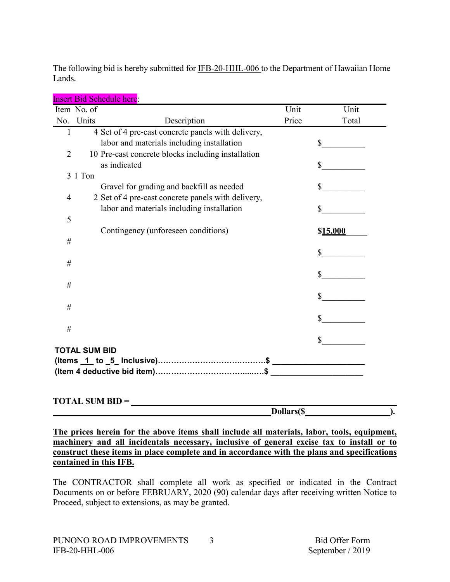The following bid is hereby submitted for IFB-20-HHL-006 to the Department of Hawaiian Home Lands.

|                |                      | <u>HISEIT DIU SCHEUUIE HEFE.</u>                   |       |          |
|----------------|----------------------|----------------------------------------------------|-------|----------|
|                | Item No. of          |                                                    | Unit  | Unit     |
|                | No. Units            | Description                                        | Price | Total    |
| $\mathbf{1}$   |                      | 4 Set of 4 pre-cast concrete panels with delivery, |       |          |
|                |                      | labor and materials including installation         |       | \$       |
| $\overline{2}$ |                      | 10 Pre-cast concrete blocks including installation |       |          |
|                |                      | as indicated                                       |       | S        |
|                | 3 1 Ton              |                                                    |       |          |
|                |                      | Gravel for grading and backfill as needed          |       |          |
| 4              |                      | 2 Set of 4 pre-cast concrete panels with delivery, |       |          |
| 5              |                      | labor and materials including installation         |       | \$       |
|                |                      |                                                    |       |          |
| $\#$           |                      | Contingency (unforeseen conditions)                |       | \$15,000 |
|                |                      |                                                    |       |          |
| $\#$           |                      |                                                    |       |          |
|                |                      |                                                    |       |          |
| #              |                      |                                                    |       |          |
|                |                      |                                                    |       | \$       |
| $\#$           |                      |                                                    |       |          |
|                |                      |                                                    |       | \$       |
| #              |                      |                                                    |       |          |
|                |                      |                                                    |       | \$       |
|                | <b>TOTAL SUM BID</b> |                                                    |       |          |
|                |                      |                                                    |       |          |
|                |                      |                                                    |       |          |

Rid Schedule here:

## **TOTAL SUM BID =**

**Dollars(\$ ).**

**The prices herein for the above items shall include all materials, labor, tools, equipment, machinery and all incidentals necessary, inclusive of general excise tax to install or to construct these items in place complete and in accordance with the plans and specifications contained in this IFB.**

The CONTRACTOR shall complete all work as specified or indicated in the Contract Documents on or before FEBRUARY, 2020 (90) calendar days after receiving written Notice to Proceed, subject to extensions, as may be granted.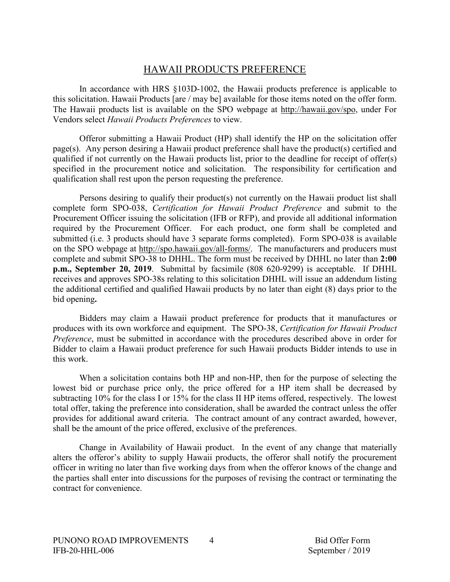# HAWAII PRODUCTS PREFERENCE

In accordance with HRS §103D-1002, the Hawaii products preference is applicable to this solicitation. Hawaii Products [are / may be] available for those items noted on the offer form. The Hawaii products list is available on the SPO webpage at http://hawaii.gov/spo, under For Vendors select *Hawaii Products Preferences* to view.

Offeror submitting a Hawaii Product (HP) shall identify the HP on the solicitation offer page(s). Any person desiring a Hawaii product preference shall have the product(s) certified and qualified if not currently on the Hawaii products list, prior to the deadline for receipt of offer(s) specified in the procurement notice and solicitation. The responsibility for certification and qualification shall rest upon the person requesting the preference.

Persons desiring to qualify their product(s) not currently on the Hawaii product list shall complete form SPO-038, *Certification for Hawaii Product Preference* and submit to the Procurement Officer issuing the solicitation (IFB or RFP), and provide all additional information required by the Procurement Officer. For each product, one form shall be completed and submitted (i.e. 3 products should have 3 separate forms completed). Form SPO-038 is available on the SPO webpage at http://spo.hawaii.gov/all-forms/. The manufacturers and producers must complete and submit SPO-38 to DHHL. The form must be received by DHHL no later than **2:00 p.m., September 20, 2019**. Submittal by facsimile (808 620-9299) is acceptable. If DHHL receives and approves SPO-38s relating to this solicitation DHHL will issue an addendum listing the additional certified and qualified Hawaii products by no later than eight (8) days prior to the bid opening**.**

Bidders may claim a Hawaii product preference for products that it manufactures or produces with its own workforce and equipment. The SPO-38, *Certification for Hawaii Product Preference*, must be submitted in accordance with the procedures described above in order for Bidder to claim a Hawaii product preference for such Hawaii products Bidder intends to use in this work.

When a solicitation contains both HP and non-HP, then for the purpose of selecting the lowest bid or purchase price only, the price offered for a HP item shall be decreased by subtracting 10% for the class I or 15% for the class II HP items offered, respectively. The lowest total offer, taking the preference into consideration, shall be awarded the contract unless the offer provides for additional award criteria. The contract amount of any contract awarded, however, shall be the amount of the price offered, exclusive of the preferences.

Change in Availability of Hawaii product. In the event of any change that materially alters the offeror's ability to supply Hawaii products, the offeror shall notify the procurement officer in writing no later than five working days from when the offeror knows of the change and the parties shall enter into discussions for the purposes of revising the contract or terminating the contract for convenience.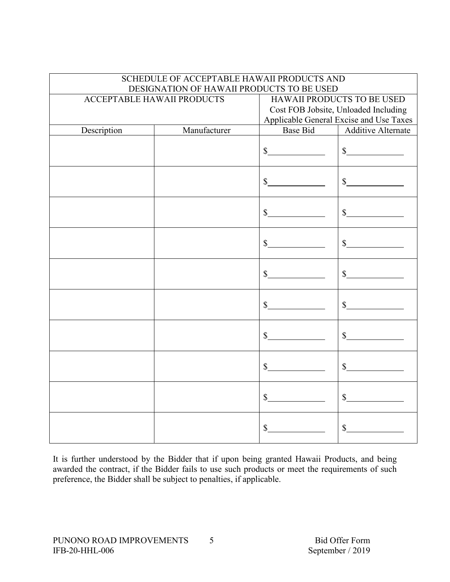|                                   | SCHEDULE OF ACCEPTABLE HAWAII PRODUCTS AND<br>DESIGNATION OF HAWAII PRODUCTS TO BE USED |                             |                                                                                                                      |
|-----------------------------------|-----------------------------------------------------------------------------------------|-----------------------------|----------------------------------------------------------------------------------------------------------------------|
| <b>ACCEPTABLE HAWAII PRODUCTS</b> |                                                                                         |                             | <b>HAWAII PRODUCTS TO BE USED</b><br>Cost FOB Jobsite, Unloaded Including<br>Applicable General Excise and Use Taxes |
| Description                       | Manufacturer                                                                            | <b>Base Bid</b>             | <b>Additive Alternate</b>                                                                                            |
|                                   |                                                                                         | $\frac{\text{S}}{\text{S}}$ | $\frac{1}{2}$                                                                                                        |
|                                   |                                                                                         | $\frac{\text{S}}{\text{S}}$ | $\frac{\sqrt{2}}{2}$                                                                                                 |
|                                   |                                                                                         | $\frac{1}{2}$               | $\mathcal{S}$                                                                                                        |
|                                   |                                                                                         | $\mathbb{S}$                | $\mathbb{S}$                                                                                                         |
|                                   |                                                                                         | $\mathbb{S}$                | $\frac{1}{2}$                                                                                                        |
|                                   |                                                                                         | $\mathbb{S}$                | $\frac{\text{S}}{\text{S}}$                                                                                          |
|                                   |                                                                                         | $\mathbb{S}$                | $\frac{\sqrt{2}}{2}$                                                                                                 |
|                                   |                                                                                         | $\mathbb S$                 | $\int$                                                                                                               |
|                                   |                                                                                         | $\mathbb{S}$                | $\mathbb{S}$                                                                                                         |
|                                   |                                                                                         | $\mathbb{S}$                | $\mathbb{S}$                                                                                                         |

It is further understood by the Bidder that if upon being granted Hawaii Products, and being awarded the contract, if the Bidder fails to use such products or meet the requirements of such preference, the Bidder shall be subject to penalties, if applicable.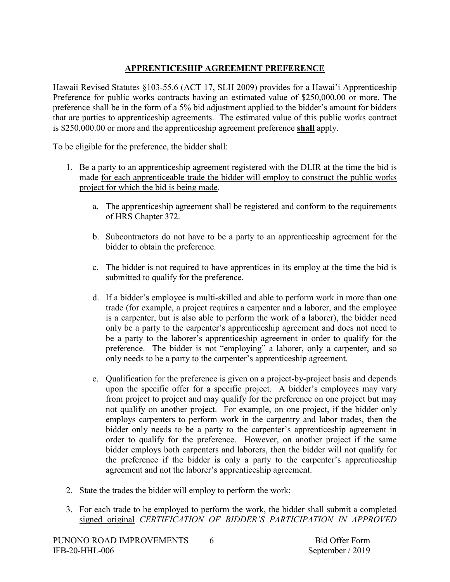# **APPRENTICESHIP AGREEMENT PREFERENCE**

Hawaii Revised Statutes §103-55.6 (ACT 17, SLH 2009) provides for a Hawai'i Apprenticeship Preference for public works contracts having an estimated value of \$250,000.00 or more. The preference shall be in the form of a 5% bid adjustment applied to the bidder's amount for bidders that are parties to apprenticeship agreements. The estimated value of this public works contract is \$250,000.00 or more and the apprenticeship agreement preference **shall** apply.

To be eligible for the preference, the bidder shall:

- 1. Be a party to an apprenticeship agreement registered with the DLIR at the time the bid is made for each apprenticeable trade the bidder will employ to construct the public works project for which the bid is being made.
	- a. The apprenticeship agreement shall be registered and conform to the requirements of HRS Chapter 372.
	- b. Subcontractors do not have to be a party to an apprenticeship agreement for the bidder to obtain the preference.
	- c. The bidder is not required to have apprentices in its employ at the time the bid is submitted to qualify for the preference.
	- d. If a bidder's employee is multi-skilled and able to perform work in more than one trade (for example, a project requires a carpenter and a laborer, and the employee is a carpenter, but is also able to perform the work of a laborer), the bidder need only be a party to the carpenter's apprenticeship agreement and does not need to be a party to the laborer's apprenticeship agreement in order to qualify for the preference. The bidder is not "employing" a laborer, only a carpenter, and so only needs to be a party to the carpenter's apprenticeship agreement.
	- e. Qualification for the preference is given on a project-by-project basis and depends upon the specific offer for a specific project. A bidder's employees may vary from project to project and may qualify for the preference on one project but may not qualify on another project. For example, on one project, if the bidder only employs carpenters to perform work in the carpentry and labor trades, then the bidder only needs to be a party to the carpenter's apprenticeship agreement in order to qualify for the preference. However, on another project if the same bidder employs both carpenters and laborers, then the bidder will not qualify for the preference if the bidder is only a party to the carpenter's apprenticeship agreement and not the laborer's apprenticeship agreement.
- 2. State the trades the bidder will employ to perform the work;
- 3. For each trade to be employed to perform the work, the bidder shall submit a completed signed original *CERTIFICATION OF BIDDER'S PARTICIPATION IN APPROVED*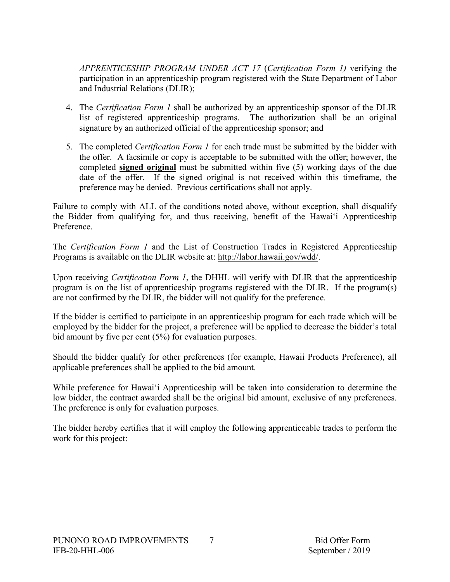*APPRENTICESHIP PROGRAM UNDER ACT 17* (*Certification Form 1)* verifying the participation in an apprenticeship program registered with the State Department of Labor and Industrial Relations (DLIR);

- 4. The *Certification Form 1* shall be authorized by an apprenticeship sponsor of the DLIR list of registered apprenticeship programs. The authorization shall be an original signature by an authorized official of the apprenticeship sponsor; and
- 5. The completed *Certification Form 1* for each trade must be submitted by the bidder with the offer. A facsimile or copy is acceptable to be submitted with the offer; however, the completed **signed original** must be submitted within five (5) working days of the due date of the offer. If the signed original is not received within this timeframe, the preference may be denied. Previous certifications shall not apply.

Failure to comply with ALL of the conditions noted above, without exception, shall disqualify the Bidder from qualifying for, and thus receiving, benefit of the Hawai'i Apprenticeship Preference.

The *Certification Form 1* and the List of Construction Trades in Registered Apprenticeship Programs is available on the DLIR website at: http://labor.hawaii.gov/wdd/.

Upon receiving *Certification Form 1*, the DHHL will verify with DLIR that the apprenticeship program is on the list of apprenticeship programs registered with the DLIR. If the program(s) are not confirmed by the DLIR, the bidder will not qualify for the preference.

If the bidder is certified to participate in an apprenticeship program for each trade which will be employed by the bidder for the project, a preference will be applied to decrease the bidder's total bid amount by five per cent (5%) for evaluation purposes.

Should the bidder qualify for other preferences (for example, Hawaii Products Preference), all applicable preferences shall be applied to the bid amount.

While preference for Hawai'i Apprenticeship will be taken into consideration to determine the low bidder, the contract awarded shall be the original bid amount, exclusive of any preferences. The preference is only for evaluation purposes.

The bidder hereby certifies that it will employ the following apprenticeable trades to perform the work for this project: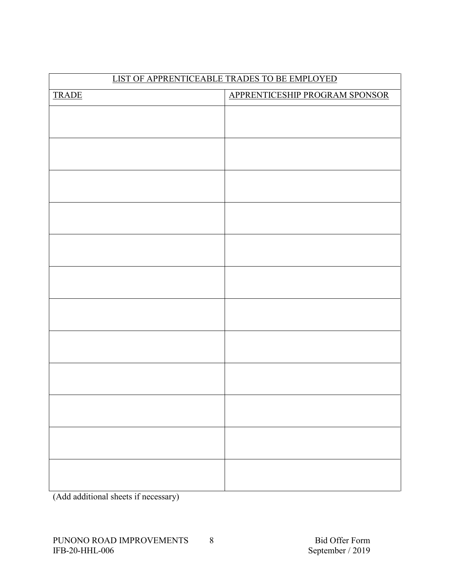| LIST OF APPRENTICEABLE TRADES TO BE EMPLOYED |                                |  |  |  |
|----------------------------------------------|--------------------------------|--|--|--|
| <b>TRADE</b>                                 | APPRENTICESHIP PROGRAM SPONSOR |  |  |  |
|                                              |                                |  |  |  |
|                                              |                                |  |  |  |
|                                              |                                |  |  |  |
|                                              |                                |  |  |  |
|                                              |                                |  |  |  |
|                                              |                                |  |  |  |
|                                              |                                |  |  |  |
|                                              |                                |  |  |  |
|                                              |                                |  |  |  |
|                                              |                                |  |  |  |
|                                              |                                |  |  |  |
|                                              |                                |  |  |  |
|                                              |                                |  |  |  |
|                                              |                                |  |  |  |
|                                              |                                |  |  |  |
|                                              |                                |  |  |  |
|                                              |                                |  |  |  |
|                                              |                                |  |  |  |
|                                              |                                |  |  |  |
|                                              |                                |  |  |  |
|                                              |                                |  |  |  |
|                                              |                                |  |  |  |
|                                              |                                |  |  |  |
|                                              |                                |  |  |  |

(Add additional sheets if necessary)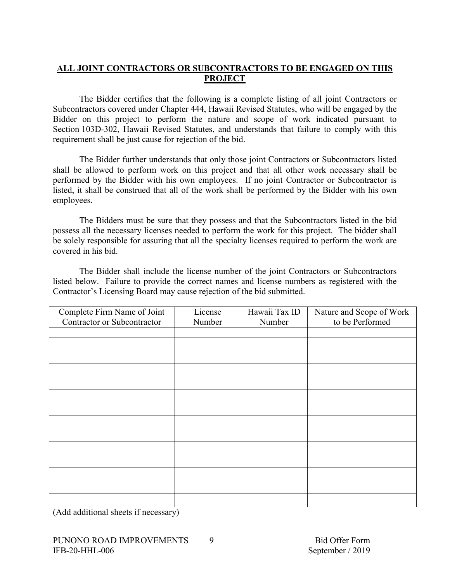# **ALL JOINT CONTRACTORS OR SUBCONTRACTORS TO BE ENGAGED ON THIS PROJECT**

The Bidder certifies that the following is a complete listing of all joint Contractors or Subcontractors covered under Chapter 444, Hawaii Revised Statutes, who will be engaged by the Bidder on this project to perform the nature and scope of work indicated pursuant to Section 103D-302, Hawaii Revised Statutes, and understands that failure to comply with this requirement shall be just cause for rejection of the bid.

The Bidder further understands that only those joint Contractors or Subcontractors listed shall be allowed to perform work on this project and that all other work necessary shall be performed by the Bidder with his own employees. If no joint Contractor or Subcontractor is listed, it shall be construed that all of the work shall be performed by the Bidder with his own employees.

The Bidders must be sure that they possess and that the Subcontractors listed in the bid possess all the necessary licenses needed to perform the work for this project. The bidder shall be solely responsible for assuring that all the specialty licenses required to perform the work are covered in his bid.

The Bidder shall include the license number of the joint Contractors or Subcontractors listed below. Failure to provide the correct names and license numbers as registered with the Contractor's Licensing Board may cause rejection of the bid submitted.

| Complete Firm Name of Joint | License | Hawaii Tax ID | Nature and Scope of Work |
|-----------------------------|---------|---------------|--------------------------|
| Contractor or Subcontractor | Number  | Number        | to be Performed          |
|                             |         |               |                          |
|                             |         |               |                          |
|                             |         |               |                          |
|                             |         |               |                          |
|                             |         |               |                          |
|                             |         |               |                          |
|                             |         |               |                          |
|                             |         |               |                          |
|                             |         |               |                          |
|                             |         |               |                          |
|                             |         |               |                          |
|                             |         |               |                          |
|                             |         |               |                          |
|                             |         |               |                          |

(Add additional sheets if necessary)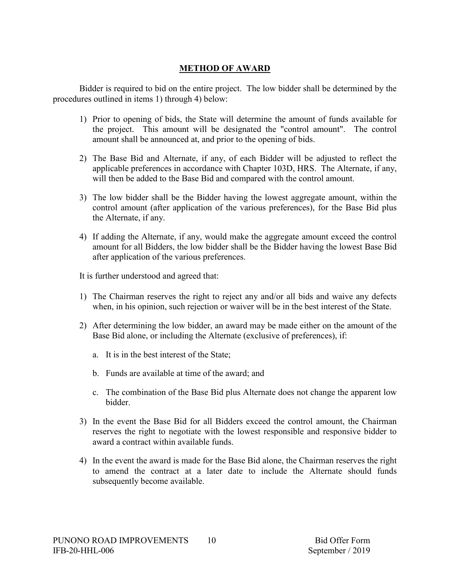# **METHOD OF AWARD**

Bidder is required to bid on the entire project. The low bidder shall be determined by the procedures outlined in items 1) through 4) below:

- 1) Prior to opening of bids, the State will determine the amount of funds available for the project. This amount will be designated the "control amount". The control amount shall be announced at, and prior to the opening of bids.
- 2) The Base Bid and Alternate, if any, of each Bidder will be adjusted to reflect the applicable preferences in accordance with Chapter 103D, HRS. The Alternate, if any, will then be added to the Base Bid and compared with the control amount.
- 3) The low bidder shall be the Bidder having the lowest aggregate amount, within the control amount (after application of the various preferences), for the Base Bid plus the Alternate, if any.
- 4) If adding the Alternate, if any, would make the aggregate amount exceed the control amount for all Bidders, the low bidder shall be the Bidder having the lowest Base Bid after application of the various preferences.

It is further understood and agreed that:

- 1) The Chairman reserves the right to reject any and/or all bids and waive any defects when, in his opinion, such rejection or waiver will be in the best interest of the State.
- 2) After determining the low bidder, an award may be made either on the amount of the Base Bid alone, or including the Alternate (exclusive of preferences), if:
	- a. It is in the best interest of the State;
	- b. Funds are available at time of the award; and
	- c. The combination of the Base Bid plus Alternate does not change the apparent low bidder.
- 3) In the event the Base Bid for all Bidders exceed the control amount, the Chairman reserves the right to negotiate with the lowest responsible and responsive bidder to award a contract within available funds.
- 4) In the event the award is made for the Base Bid alone, the Chairman reserves the right to amend the contract at a later date to include the Alternate should funds subsequently become available.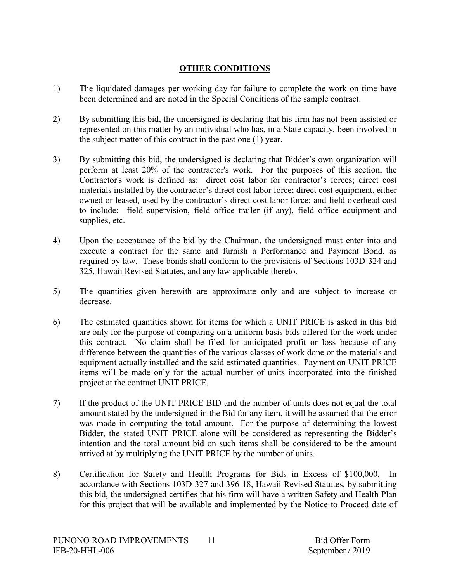# **OTHER CONDITIONS**

- 1) The liquidated damages per working day for failure to complete the work on time have been determined and are noted in the Special Conditions of the sample contract.
- 2) By submitting this bid, the undersigned is declaring that his firm has not been assisted or represented on this matter by an individual who has, in a State capacity, been involved in the subject matter of this contract in the past one (1) year.
- 3) By submitting this bid, the undersigned is declaring that Bidder's own organization will perform at least 20% of the contractor's work. For the purposes of this section, the Contractor's work is defined as: direct cost labor for contractor's forces; direct cost materials installed by the contractor's direct cost labor force; direct cost equipment, either owned or leased, used by the contractor's direct cost labor force; and field overhead cost to include: field supervision, field office trailer (if any), field office equipment and supplies, etc.
- 4) Upon the acceptance of the bid by the Chairman, the undersigned must enter into and execute a contract for the same and furnish a Performance and Payment Bond, as required by law. These bonds shall conform to the provisions of Sections 103D-324 and 325, Hawaii Revised Statutes, and any law applicable thereto.
- 5) The quantities given herewith are approximate only and are subject to increase or decrease.
- 6) The estimated quantities shown for items for which a UNIT PRICE is asked in this bid are only for the purpose of comparing on a uniform basis bids offered for the work under this contract. No claim shall be filed for anticipated profit or loss because of any difference between the quantities of the various classes of work done or the materials and equipment actually installed and the said estimated quantities. Payment on UNIT PRICE items will be made only for the actual number of units incorporated into the finished project at the contract UNIT PRICE.
- 7) If the product of the UNIT PRICE BID and the number of units does not equal the total amount stated by the undersigned in the Bid for any item, it will be assumed that the error was made in computing the total amount. For the purpose of determining the lowest Bidder, the stated UNIT PRICE alone will be considered as representing the Bidder's intention and the total amount bid on such items shall be considered to be the amount arrived at by multiplying the UNIT PRICE by the number of units.
- 8) Certification for Safety and Health Programs for Bids in Excess of \$100,000. In accordance with Sections 103D-327 and 396-18, Hawaii Revised Statutes, by submitting this bid, the undersigned certifies that his firm will have a written Safety and Health Plan for this project that will be available and implemented by the Notice to Proceed date of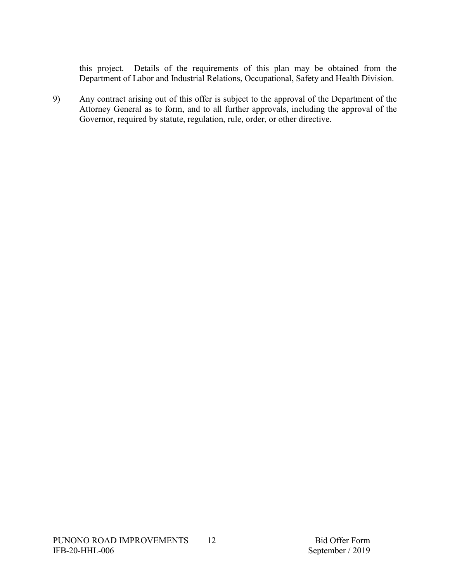this project. Details of the requirements of this plan may be obtained from the Department of Labor and Industrial Relations, Occupational, Safety and Health Division.

9) Any contract arising out of this offer is subject to the approval of the Department of the Attorney General as to form, and to all further approvals, including the approval of the Governor, required by statute, regulation, rule, order, or other directive.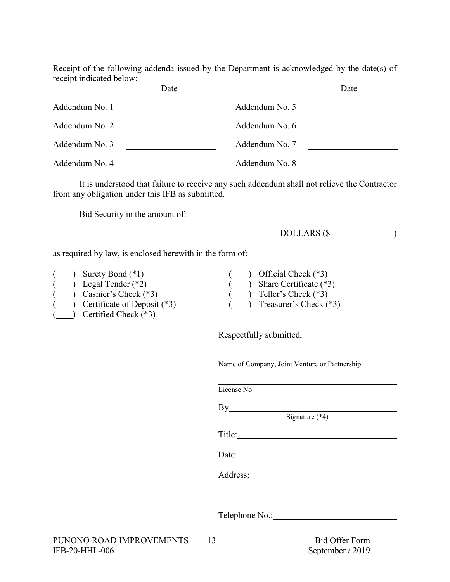Receipt of the following addenda issued by the Department is acknowledged by the date(s) of receipt indicated below:

|                | Date |                | Date |
|----------------|------|----------------|------|
| Addendum No. 1 |      | Addendum No. 5 |      |
| Addendum No. 2 |      | Addendum No. 6 |      |
| Addendum No. 3 |      | Addendum No. 7 |      |
| Addendum No. 4 |      | Addendum No. 8 |      |

It is understood that failure to receive any such addendum shall not relieve the Contractor from any obligation under this IFB as submitted.

Bid Security in the amount of:

| DOLLARS<br>$\Box$ $\cap$ $\Box$ $\cap$<br>ιυ<br><b>DOLLINO</b> |  |
|----------------------------------------------------------------|--|
|                                                                |  |

as required by law, is enclosed herewith in the form of:

| $($ ) Surety Bond $(*1)$           | $($ ) Official Check $(*3)$          |
|------------------------------------|--------------------------------------|
| $\frac{1}{2}$ Legal Tender (*2)    | $\frac{1}{2}$ Share Certificate (*3) |
| $(\ )$ Cashier's Check $(*3)$      | $($ ) Teller's Check $(*3)$          |
| (*3) Certificate of Deposit $(*3)$ | $($ ) Treasurer's Check $(*3)$       |
| $\int$ Certified Check (*3)        |                                      |

Respectfully submitted,

Name of Company, Joint Venture or Partnership

License No.

Signature (\*4)

Title:

By

Date:

Address:

Telephone No.: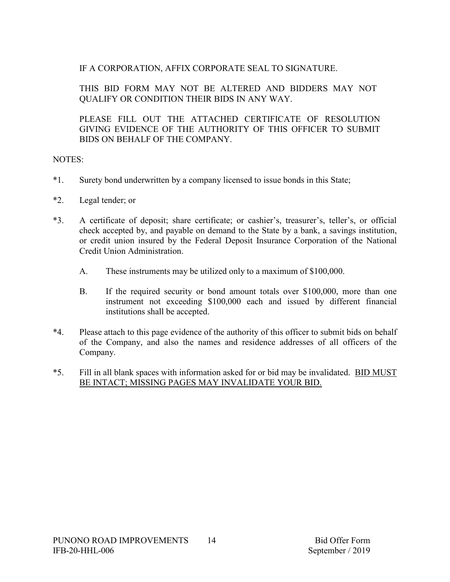# IF A CORPORATION, AFFIX CORPORATE SEAL TO SIGNATURE.

THIS BID FORM MAY NOT BE ALTERED AND BIDDERS MAY NOT QUALIFY OR CONDITION THEIR BIDS IN ANY WAY.

PLEASE FILL OUT THE ATTACHED CERTIFICATE OF RESOLUTION GIVING EVIDENCE OF THE AUTHORITY OF THIS OFFICER TO SUBMIT BIDS ON BEHALF OF THE COMPANY.

# NOTES:

- \*1. Surety bond underwritten by a company licensed to issue bonds in this State;
- \*2. Legal tender; or
- \*3. A certificate of deposit; share certificate; or cashier's, treasurer's, teller's, or official check accepted by, and payable on demand to the State by a bank, a savings institution, or credit union insured by the Federal Deposit Insurance Corporation of the National Credit Union Administration.
	- A. These instruments may be utilized only to a maximum of \$100,000.
	- B. If the required security or bond amount totals over \$100,000, more than one instrument not exceeding \$100,000 each and issued by different financial institutions shall be accepted.
- \*4. Please attach to this page evidence of the authority of this officer to submit bids on behalf of the Company, and also the names and residence addresses of all officers of the Company.
- \*5. Fill in all blank spaces with information asked for or bid may be invalidated. BID MUST BE INTACT; MISSING PAGES MAY INVALIDATE YOUR BID.